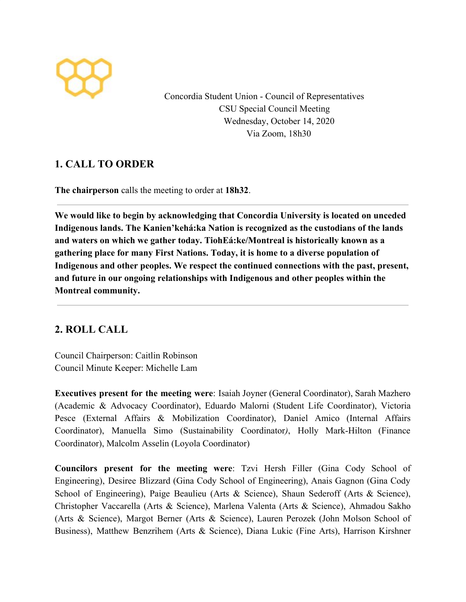

Concordia Student Union - Council of Representatives CSU Special Council Meeting Wednesday, October 14, 2020 Via Zoom, 18h30

## **1. CALL TO ORDER**

**The chairperson** calls the meeting to order at **18h32**.

**We would like to begin by acknowledging that Concordia University is located on unceded Indigenous lands. The Kanien'kehá:ka Nation is recognized as the custodians of the lands and waters on which we gather today. TiohEá:ke/Montreal is historically known as a gathering place for many First Nations. Today, it is home to a diverse population of Indigenous and other peoples. We respect the continued connections with the past, present, and future in our ongoing relationships with Indigenous and other peoples within the Montreal community.**

# **2. ROLL CALL**

Council Chairperson: Caitlin Robinson Council Minute Keeper: Michelle Lam

**Executives present for the meeting were**: Isaiah Joyner (General Coordinator), Sarah Mazhero (Academic & Advocacy Coordinator), Eduardo Malorni (Student Life Coordinator), Victoria Pesce (External Affairs & Mobilization Coordinator), Daniel Amico (Internal Affairs Coordinator), Manuella Simo (Sustainability Coordinator*)*, Holly Mark-Hilton (Finance Coordinator), Malcolm Asselin (Loyola Coordinator)

**Councilors present for the meeting were**: Tzvi Hersh Filler (Gina Cody School of Engineering), Desiree Blizzard (Gina Cody School of Engineering), Anais Gagnon (Gina Cody School of Engineering), Paige Beaulieu (Arts & Science), Shaun Sederoff (Arts & Science), Christopher Vaccarella (Arts & Science), Marlena Valenta (Arts & Science), Ahmadou Sakho (Arts & Science), Margot Berner (Arts & Science), Lauren Perozek (John Molson School of Business), Matthew Benzrihem (Arts & Science), Diana Lukic (Fine Arts), Harrison Kirshner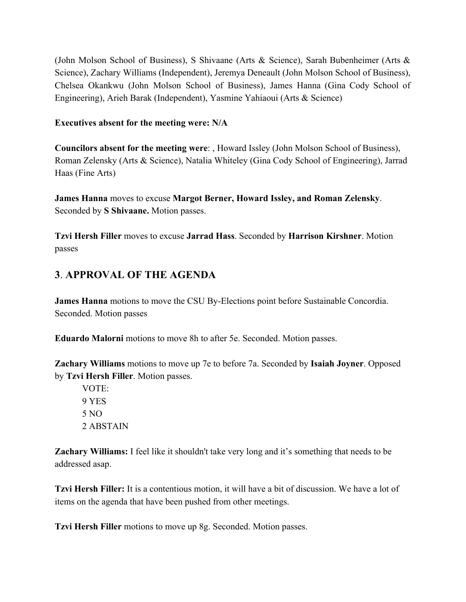(John Molson School of Business), S Shivaane (Arts & Science), Sarah Bubenheimer (Arts & Science), Zachary Williams (Independent), Jeremya Deneault (John Molson School of Business), Chelsea Okankwu (John Molson School of Business), James Hanna (Gina Cody School of Engineering), Arieh Barak (Independent), Yasmine Yahiaoui (Arts & Science)

#### **Executives absent for the meeting were: N/A**

**Councilors absent for the meeting were**: , Howard Issley (John Molson School of Business), Roman Zelensky (Arts & Science), Natalia Whiteley (Gina Cody School of Engineering), Jarrad Haas (Fine Arts)

**James Hanna** moves to excuse **Margot Berner, Howard Issley, and Roman Zelensky**. Seconded by **S Shivaane.** Motion passes.

**Tzvi Hersh Filler** moves to excuse **Jarrad Hass**. Seconded by **Harrison Kirshner**. Motion passes

# **3**. **APPROVAL OF THE AGENDA**

**James Hanna** motions to move the CSU By-Elections point before Sustainable Concordia. Seconded. Motion passes

**Eduardo Malorni** motions to move 8h to after 5e. Seconded. Motion passes.

**Zachary Williams** motions to move up 7e to before 7a. Seconded by **Isaiah Joyner**. Opposed by **Tzvi Hersh Filler**. Motion passes.

VOTE: 9 YES 5 NO 2 ABSTAIN

**Zachary Williams:** I feel like it shouldn't take very long and it's something that needs to be addressed asap.

**Tzvi Hersh Filler:** It is a contentious motion, it will have a bit of discussion. We have a lot of items on the agenda that have been pushed from other meetings.

**Tzvi Hersh Filler** motions to move up 8g. Seconded. Motion passes.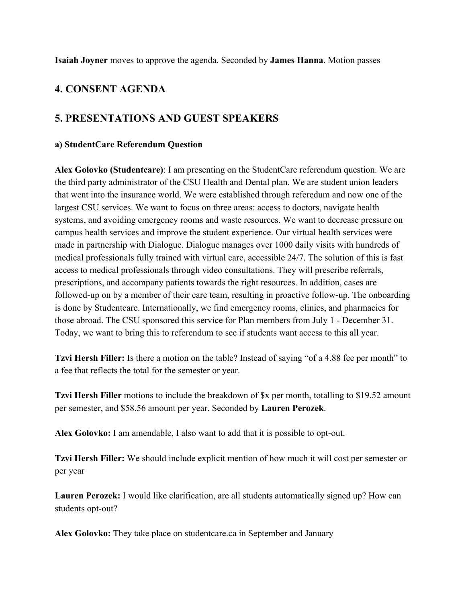**Isaiah Joyner** moves to approve the agenda. Seconded by **James Hanna**. Motion passes

## **4. CONSENT AGENDA**

## **5. PRESENTATIONS AND GUEST SPEAKERS**

#### **a) StudentCare Referendum Question**

**Alex Golovko (Studentcare)**: I am presenting on the StudentCare referendum question. We are the third party administrator of the CSU Health and Dental plan. We are student union leaders that went into the insurance world. We were established through referedum and now one of the largest CSU services. We want to focus on three areas: access to doctors, navigate health systems, and avoiding emergency rooms and waste resources. We want to decrease pressure on campus health services and improve the student experience. Our virtual health services were made in partnership with Dialogue. Dialogue manages over 1000 daily visits with hundreds of medical professionals fully trained with virtual care, accessible 24/7. The solution of this is fast access to medical professionals through video consultations. They will prescribe referrals, prescriptions, and accompany patients towards the right resources. In addition, cases are followed-up on by a member of their care team, resulting in proactive follow-up. The onboarding is done by Studentcare. Internationally, we find emergency rooms, clinics, and pharmacies for those abroad. The CSU sponsored this service for Plan members from July 1 - December 31. Today, we want to bring this to referendum to see if students want access to this all year.

**Tzvi Hersh Filler:** Is there a motion on the table? Instead of saying "of a 4.88 fee per month" to a fee that reflects the total for the semester or year.

**Tzvi Hersh Filler** motions to include the breakdown of  $x$  per month, totalling to \$19.52 amount per semester, and \$58.56 amount per year. Seconded by **Lauren Perozek**.

**Alex Golovko:** I am amendable, I also want to add that it is possible to opt-out.

**Tzvi Hersh Filler:** We should include explicit mention of how much it will cost per semester or per year

**Lauren Perozek:** I would like clarification, are all students automatically signed up? How can students opt-out?

**Alex Golovko:** They take place on studentcare.ca in September and January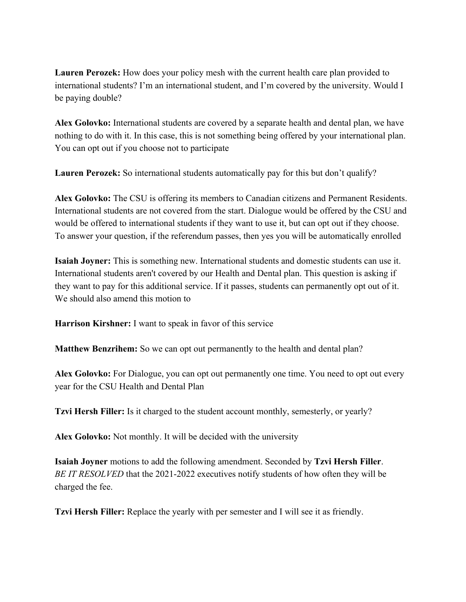**Lauren Perozek:** How does your policy mesh with the current health care plan provided to international students? I'm an international student, and I'm covered by the university. Would I be paying double?

**Alex Golovko:** International students are covered by a separate health and dental plan, we have nothing to do with it. In this case, this is not something being offered by your international plan. You can opt out if you choose not to participate

**Lauren Perozek:** So international students automatically pay for this but don't qualify?

**Alex Golovko:** The CSU is offering its members to Canadian citizens and Permanent Residents. International students are not covered from the start. Dialogue would be offered by the CSU and would be offered to international students if they want to use it, but can opt out if they choose. To answer your question, if the referendum passes, then yes you will be automatically enrolled

**Isaiah Joyner:** This is something new. International students and domestic students can use it. International students aren't covered by our Health and Dental plan. This question is asking if they want to pay for this additional service. If it passes, students can permanently opt out of it. We should also amend this motion to

**Harrison Kirshner:** I want to speak in favor of this service

**Matthew Benzrihem:** So we can opt out permanently to the health and dental plan?

**Alex Golovko:** For Dialogue, you can opt out permanently one time. You need to opt out every year for the CSU Health and Dental Plan

**Tzvi Hersh Filler:** Is it charged to the student account monthly, semesterly, or yearly?

**Alex Golovko:** Not monthly. It will be decided with the university

**Isaiah Joyner** motions to add the following amendment. Seconded by **Tzvi Hersh Filler**. *BE IT RESOLVED* that the 2021-2022 executives notify students of how often they will be charged the fee.

**Tzvi Hersh Filler:** Replace the yearly with per semester and I will see it as friendly.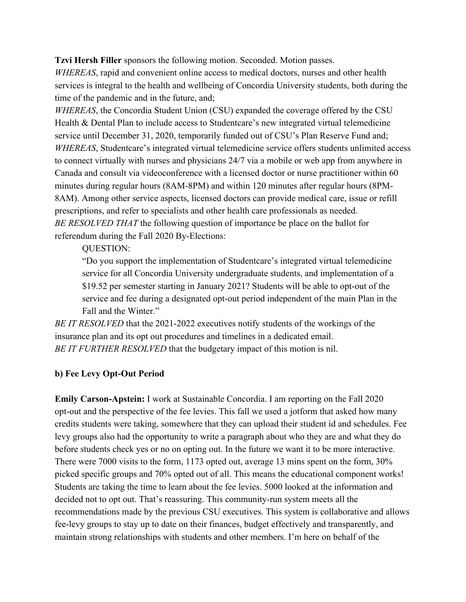**Tzvi Hersh Filler** sponsors the following motion. Seconded. Motion passes.

*WHEREAS*, rapid and convenient online access to medical doctors, nurses and other health services is integral to the health and wellbeing of Concordia University students, both during the time of the pandemic and in the future, and;

*WHEREAS*, the Concordia Student Union (CSU) expanded the coverage offered by the CSU Health & Dental Plan to include access to Studentcare's new integrated virtual telemedicine service until December 31, 2020, temporarily funded out of CSU's Plan Reserve Fund and; *WHEREAS*, Studentcare's integrated virtual telemedicine service offers students unlimited access to connect virtually with nurses and physicians 24/7 via a mobile or web app from anywhere in Canada and consult via videoconference with a licensed doctor or nurse practitioner within 60 minutes during regular hours (8AM-8PM) and within 120 minutes after regular hours (8PM-8AM). Among other service aspects, licensed doctors can provide medical care, issue or refill prescriptions, and refer to specialists and other health care professionals as needed. *BE RESOLVED THAT* the following question of importance be place on the ballot for referendum during the Fall 2020 By-Elections:

QUESTION:

"Do you support the implementation of Studentcare's integrated virtual telemedicine service for all Concordia University undergraduate students, and implementation of a \$19.52 per semester starting in January 2021? Students will be able to opt-out of the service and fee during a designated opt-out period independent of the main Plan in the Fall and the Winter."

*BE IT RESOLVED* that the 2021-2022 executives notify students of the workings of the insurance plan and its opt out procedures and timelines in a dedicated email. *BE IT FURTHER RESOLVED* that the budgetary impact of this motion is nil.

#### **b) Fee Levy Opt-Out Period**

**Emily Carson-Apstein:** I work at Sustainable Concordia. I am reporting on the Fall 2020 opt-out and the perspective of the fee levies. This fall we used a jotform that asked how many credits students were taking, somewhere that they can upload their student id and schedules. Fee levy groups also had the opportunity to write a paragraph about who they are and what they do before students check yes or no on opting out. In the future we want it to be more interactive. There were 7000 visits to the form, 1173 opted out, average 13 mins spent on the form, 30% picked specific groups and 70% opted out of all. This means the educational component works! Students are taking the time to learn about the fee levies. 5000 looked at the information and decided not to opt out. That's reassuring. This community-run system meets all the recommendations made by the previous CSU executives. This system is collaborative and allows fee-levy groups to stay up to date on their finances, budget effectively and transparently, and maintain strong relationships with students and other members. I'm here on behalf of the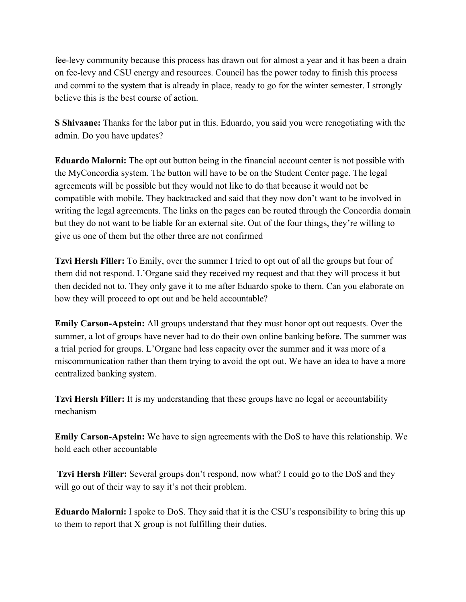fee-levy community because this process has drawn out for almost a year and it has been a drain on fee-levy and CSU energy and resources. Council has the power today to finish this process and commi to the system that is already in place, ready to go for the winter semester. I strongly believe this is the best course of action.

**S Shivaane:** Thanks for the labor put in this. Eduardo, you said you were renegotiating with the admin. Do you have updates?

**Eduardo Malorni:** The opt out button being in the financial account center is not possible with the MyConcordia system. The button will have to be on the Student Center page. The legal agreements will be possible but they would not like to do that because it would not be compatible with mobile. They backtracked and said that they now don't want to be involved in writing the legal agreements. The links on the pages can be routed through the Concordia domain but they do not want to be liable for an external site. Out of the four things, they're willing to give us one of them but the other three are not confirmed

**Tzvi Hersh Filler:** To Emily, over the summer I tried to opt out of all the groups but four of them did not respond. L'Organe said they received my request and that they will process it but then decided not to. They only gave it to me after Eduardo spoke to them. Can you elaborate on how they will proceed to opt out and be held accountable?

**Emily Carson-Apstein:** All groups understand that they must honor opt out requests. Over the summer, a lot of groups have never had to do their own online banking before. The summer was a trial period for groups. L'Organe had less capacity over the summer and it was more of a miscommunication rather than them trying to avoid the opt out. We have an idea to have a more centralized banking system.

**Tzvi Hersh Filler:** It is my understanding that these groups have no legal or accountability mechanism

**Emily Carson-Apstein:** We have to sign agreements with the DoS to have this relationship. We hold each other accountable

**Tzvi Hersh Filler:** Several groups don't respond, now what? I could go to the DoS and they will go out of their way to say it's not their problem.

**Eduardo Malorni:** I spoke to DoS. They said that it is the CSU's responsibility to bring this up to them to report that X group is not fulfilling their duties.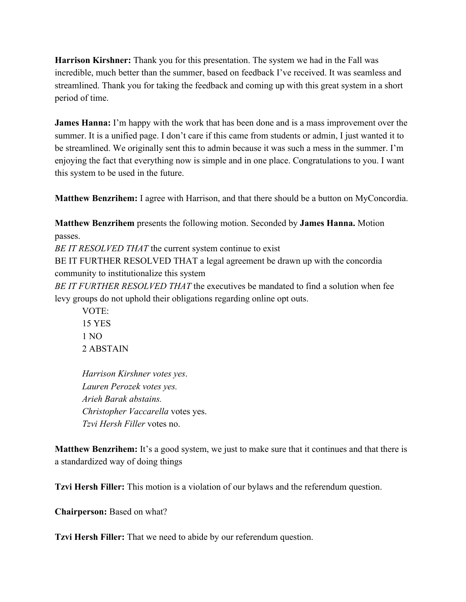**Harrison Kirshner:** Thank you for this presentation. The system we had in the Fall was incredible, much better than the summer, based on feedback I've received. It was seamless and streamlined. Thank you for taking the feedback and coming up with this great system in a short period of time.

**James Hanna:** I'm happy with the work that has been done and is a mass improvement over the summer. It is a unified page. I don't care if this came from students or admin, I just wanted it to be streamlined. We originally sent this to admin because it was such a mess in the summer. I'm enjoying the fact that everything now is simple and in one place. Congratulations to you. I want this system to be used in the future.

**Matthew Benzrihem:** I agree with Harrison, and that there should be a button on MyConcordia.

**Matthew Benzrihem** presents the following motion. Seconded by **James Hanna.** Motion passes.

*BE IT RESOLVED THAT* the current system continue to exist

BE IT FURTHER RESOLVED THAT a legal agreement be drawn up with the concordia community to institutionalize this system

*BE IT FURTHER RESOLVED THAT* the executives be mandated to find a solution when fee levy groups do not uphold their obligations regarding online opt outs.

VOTE: 15 YES 1 NO 2 ABSTAIN

*Harrison Kirshner votes yes*. *Lauren Perozek votes yes. Arieh Barak abstains. Christopher Vaccarella* votes yes. *Tzvi Hersh Filler* votes no.

**Matthew Benzrihem:** It's a good system, we just to make sure that it continues and that there is a standardized way of doing things

**Tzvi Hersh Filler:** This motion is a violation of our bylaws and the referendum question.

**Chairperson:** Based on what?

**Tzvi Hersh Filler:** That we need to abide by our referendum question.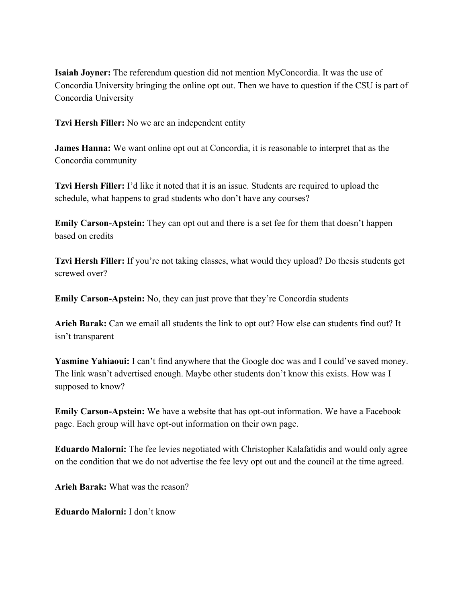**Isaiah Joyner:** The referendum question did not mention MyConcordia. It was the use of Concordia University bringing the online opt out. Then we have to question if the CSU is part of Concordia University

**Tzvi Hersh Filler:** No we are an independent entity

**James Hanna:** We want online opt out at Concordia, it is reasonable to interpret that as the Concordia community

**Tzvi Hersh Filler:** I'd like it noted that it is an issue. Students are required to upload the schedule, what happens to grad students who don't have any courses?

**Emily Carson-Apstein:** They can opt out and there is a set fee for them that doesn't happen based on credits

**Tzvi Hersh Filler:** If you're not taking classes, what would they upload? Do thesis students get screwed over?

**Emily Carson-Apstein:** No, they can just prove that they're Concordia students

**Arieh Barak:** Can we email all students the link to opt out? How else can students find out? It isn't transparent

**Yasmine Yahiaoui:** I can't find anywhere that the Google doc was and I could've saved money. The link wasn't advertised enough. Maybe other students don't know this exists. How was I supposed to know?

**Emily Carson-Apstein:** We have a website that has opt-out information. We have a Facebook page. Each group will have opt-out information on their own page.

**Eduardo Malorni:** The fee levies negotiated with Christopher Kalafatidis and would only agree on the condition that we do not advertise the fee levy opt out and the council at the time agreed.

**Arieh Barak:** What was the reason?

**Eduardo Malorni:** I don't know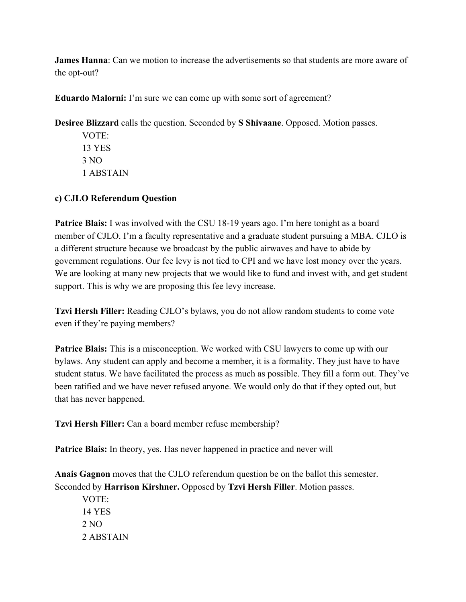**James Hanna**: Can we motion to increase the advertisements so that students are more aware of the opt-out?

**Eduardo Malorni:** I'm sure we can come up with some sort of agreement?

**Desiree Blizzard** calls the question. Seconded by **S Shivaane**. Opposed. Motion passes.

VOTE: 13 YES 3 NO 1 ABSTAIN

#### **c) CJLO Referendum Question**

**Patrice Blais:** I was involved with the CSU 18-19 years ago. I'm here tonight as a board member of CJLO. I'm a faculty representative and a graduate student pursuing a MBA. CJLO is a different structure because we broadcast by the public airwaves and have to abide by government regulations. Our fee levy is not tied to CPI and we have lost money over the years. We are looking at many new projects that we would like to fund and invest with, and get student support. This is why we are proposing this fee levy increase.

**Tzvi Hersh Filler:** Reading CJLO's bylaws, you do not allow random students to come vote even if they're paying members?

**Patrice Blais:** This is a misconception. We worked with CSU lawyers to come up with our bylaws. Any student can apply and become a member, it is a formality. They just have to have student status. We have facilitated the process as much as possible. They fill a form out. They've been ratified and we have never refused anyone. We would only do that if they opted out, but that has never happened.

**Tzvi Hersh Filler:** Can a board member refuse membership?

Patrice Blais: In theory, yes. Has never happened in practice and never will

**Anais Gagnon** moves that the CJLO referendum question be on the ballot this semester. Seconded by **Harrison Kirshner.** Opposed by **Tzvi Hersh Filler**. Motion passes.

VOTE: 14 YES 2 NO 2 ABSTAIN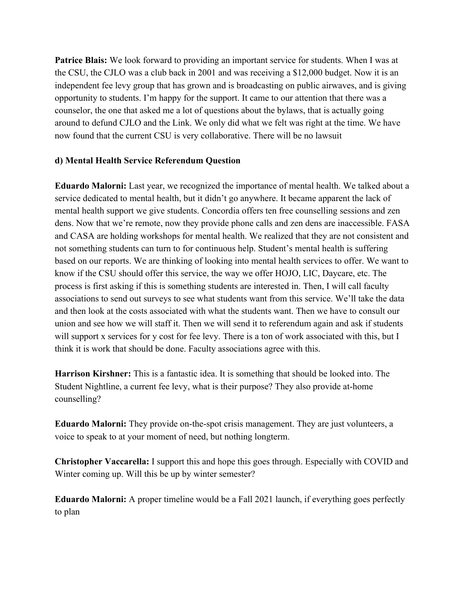**Patrice Blais:** We look forward to providing an important service for students. When I was at the CSU, the CJLO was a club back in 2001 and was receiving a \$12,000 budget. Now it is an independent fee levy group that has grown and is broadcasting on public airwaves, and is giving opportunity to students. I'm happy for the support. It came to our attention that there was a counselor, the one that asked me a lot of questions about the bylaws, that is actually going around to defund CJLO and the Link. We only did what we felt was right at the time. We have now found that the current CSU is very collaborative. There will be no lawsuit

#### **d) Mental Health Service Referendum Question**

**Eduardo Malorni:** Last year, we recognized the importance of mental health. We talked about a service dedicated to mental health, but it didn't go anywhere. It became apparent the lack of mental health support we give students. Concordia offers ten free counselling sessions and zen dens. Now that we're remote, now they provide phone calls and zen dens are inaccessible. FASA and CASA are holding workshops for mental health. We realized that they are not consistent and not something students can turn to for continuous help. Student's mental health is suffering based on our reports. We are thinking of looking into mental health services to offer. We want to know if the CSU should offer this service, the way we offer HOJO, LIC, Daycare, etc. The process is first asking if this is something students are interested in. Then, I will call faculty associations to send out surveys to see what students want from this service. We'll take the data and then look at the costs associated with what the students want. Then we have to consult our union and see how we will staff it. Then we will send it to referendum again and ask if students will support x services for y cost for fee levy. There is a ton of work associated with this, but I think it is work that should be done. Faculty associations agree with this.

**Harrison Kirshner:** This is a fantastic idea. It is something that should be looked into. The Student Nightline, a current fee levy, what is their purpose? They also provide at-home counselling?

**Eduardo Malorni:** They provide on-the-spot crisis management. They are just volunteers, a voice to speak to at your moment of need, but nothing longterm.

**Christopher Vaccarella:** I support this and hope this goes through. Especially with COVID and Winter coming up. Will this be up by winter semester?

**Eduardo Malorni:** A proper timeline would be a Fall 2021 launch, if everything goes perfectly to plan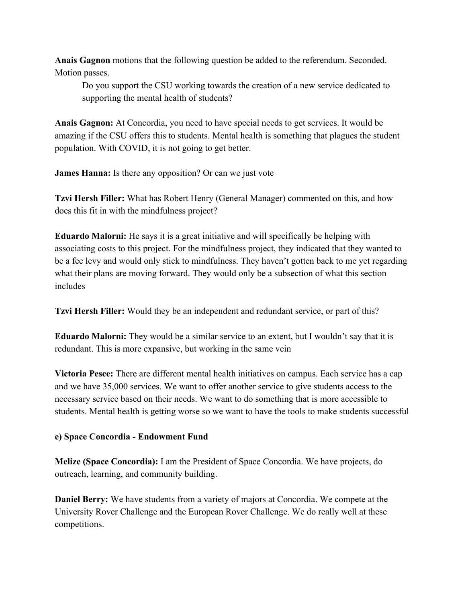**Anais Gagnon** motions that the following question be added to the referendum. Seconded. Motion passes.

Do you support the CSU working towards the creation of a new service dedicated to supporting the mental health of students?

**Anais Gagnon:** At Concordia, you need to have special needs to get services. It would be amazing if the CSU offers this to students. Mental health is something that plagues the student population. With COVID, it is not going to get better.

**James Hanna:** Is there any opposition? Or can we just vote

**Tzvi Hersh Filler:** What has Robert Henry (General Manager) commented on this, and how does this fit in with the mindfulness project?

**Eduardo Malorni:** He says it is a great initiative and will specifically be helping with associating costs to this project. For the mindfulness project, they indicated that they wanted to be a fee levy and would only stick to mindfulness. They haven't gotten back to me yet regarding what their plans are moving forward. They would only be a subsection of what this section includes

**Tzvi Hersh Filler:** Would they be an independent and redundant service, or part of this?

**Eduardo Malorni:** They would be a similar service to an extent, but I wouldn't say that it is redundant. This is more expansive, but working in the same vein

**Victoria Pesce:** There are different mental health initiatives on campus. Each service has a cap and we have 35,000 services. We want to offer another service to give students access to the necessary service based on their needs. We want to do something that is more accessible to students. Mental health is getting worse so we want to have the tools to make students successful

## **e) Space Concordia - Endowment Fund**

**Melize (Space Concordia):** I am the President of Space Concordia. We have projects, do outreach, learning, and community building.

**Daniel Berry:** We have students from a variety of majors at Concordia. We compete at the University Rover Challenge and the European Rover Challenge. We do really well at these competitions.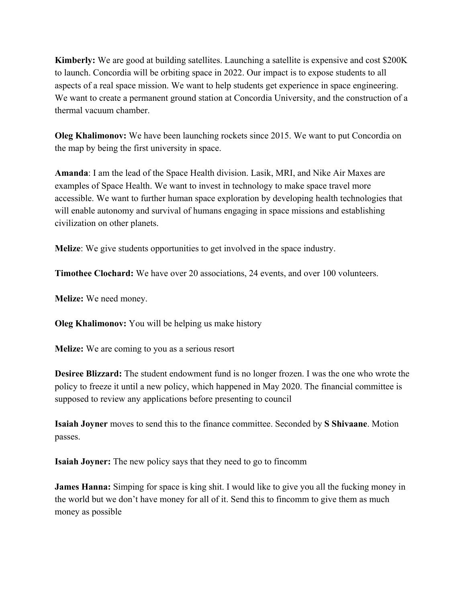**Kimberly:** We are good at building satellites. Launching a satellite is expensive and cost \$200K to launch. Concordia will be orbiting space in 2022. Our impact is to expose students to all aspects of a real space mission. We want to help students get experience in space engineering. We want to create a permanent ground station at Concordia University, and the construction of a thermal vacuum chamber.

**Oleg Khalimonov:** We have been launching rockets since 2015. We want to put Concordia on the map by being the first university in space.

**Amanda**: I am the lead of the Space Health division. Lasik, MRI, and Nike Air Maxes are examples of Space Health. We want to invest in technology to make space travel more accessible. We want to further human space exploration by developing health technologies that will enable autonomy and survival of humans engaging in space missions and establishing civilization on other planets.

**Melize**: We give students opportunities to get involved in the space industry.

**Timothee Clochard:** We have over 20 associations, 24 events, and over 100 volunteers.

**Melize:** We need money.

**Oleg Khalimonov:** You will be helping us make history

**Melize:** We are coming to you as a serious resort

**Desiree Blizzard:** The student endowment fund is no longer frozen. I was the one who wrote the policy to freeze it until a new policy, which happened in May 2020. The financial committee is supposed to review any applications before presenting to council

**Isaiah Joyner** moves to send this to the finance committee. Seconded by **S Shivaane**. Motion passes.

**Isaiah Joyner:** The new policy says that they need to go to fincomm

**James Hanna:** Simping for space is king shit. I would like to give you all the fucking money in the world but we don't have money for all of it. Send this to fincomm to give them as much money as possible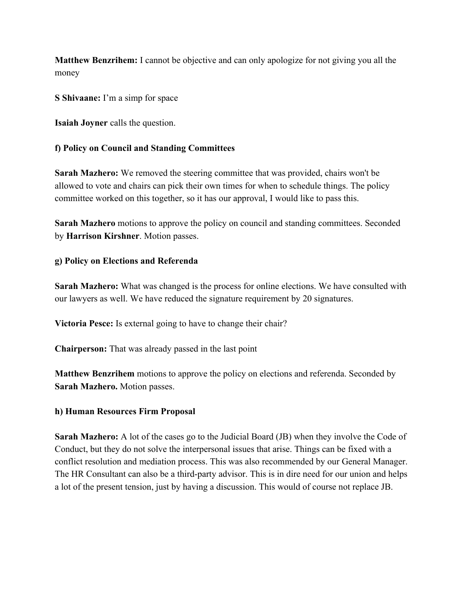**Matthew Benzrihem:** I cannot be objective and can only apologize for not giving you all the money

**S Shivaane:** I'm a simp for space

**Isaiah Joyner** calls the question.

#### **f) Policy on Council and Standing Committees**

**Sarah Mazhero:** We removed the steering committee that was provided, chairs won't be allowed to vote and chairs can pick their own times for when to schedule things. The policy committee worked on this together, so it has our approval, I would like to pass this.

**Sarah Mazhero** motions to approve the policy on council and standing committees. Seconded by **Harrison Kirshner**. Motion passes.

#### **g) Policy on Elections and Referenda**

**Sarah Mazhero:** What was changed is the process for online elections. We have consulted with our lawyers as well. We have reduced the signature requirement by 20 signatures.

**Victoria Pesce:** Is external going to have to change their chair?

**Chairperson:** That was already passed in the last point

**Matthew Benzrihem** motions to approve the policy on elections and referenda. Seconded by **Sarah Mazhero.** Motion passes.

#### **h) Human Resources Firm Proposal**

**Sarah Mazhero:** A lot of the cases go to the Judicial Board (JB) when they involve the Code of Conduct, but they do not solve the interpersonal issues that arise. Things can be fixed with a conflict resolution and mediation process. This was also recommended by our General Manager. The HR Consultant can also be a third-party advisor. This is in dire need for our union and helps a lot of the present tension, just by having a discussion. This would of course not replace JB.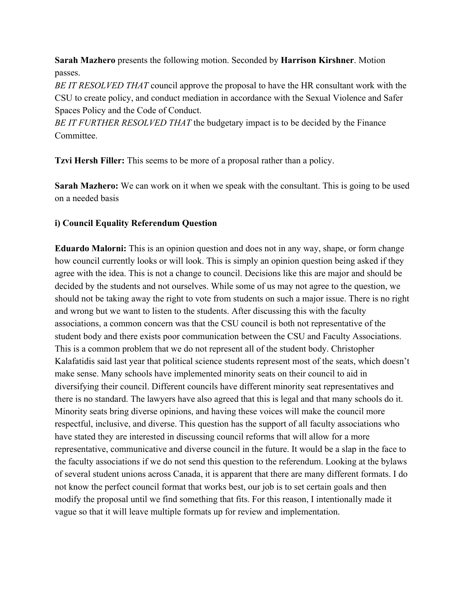**Sarah Mazhero** presents the following motion. Seconded by **Harrison Kirshner**. Motion passes.

*BE IT RESOLVED THAT* council approve the proposal to have the HR consultant work with the CSU to create policy, and conduct mediation in accordance with the Sexual Violence and Safer Spaces Policy and the Code of Conduct.

*BE IT FURTHER RESOLVED THAT* the budgetary impact is to be decided by the Finance **Committee** 

**Tzvi Hersh Filler:** This seems to be more of a proposal rather than a policy.

**Sarah Mazhero:** We can work on it when we speak with the consultant. This is going to be used on a needed basis

### **i) Council Equality Referendum Question**

**Eduardo Malorni:** This is an opinion question and does not in any way, shape, or form change how council currently looks or will look. This is simply an opinion question being asked if they agree with the idea. This is not a change to council. Decisions like this are major and should be decided by the students and not ourselves. While some of us may not agree to the question, we should not be taking away the right to vote from students on such a major issue. There is no right and wrong but we want to listen to the students. After discussing this with the faculty associations, a common concern was that the CSU council is both not representative of the student body and there exists poor communication between the CSU and Faculty Associations. This is a common problem that we do not represent all of the student body. Christopher Kalafatidis said last year that political science students represent most of the seats, which doesn't make sense. Many schools have implemented minority seats on their council to aid in diversifying their council. Different councils have different minority seat representatives and there is no standard. The lawyers have also agreed that this is legal and that many schools do it. Minority seats bring diverse opinions, and having these voices will make the council more respectful, inclusive, and diverse. This question has the support of all faculty associations who have stated they are interested in discussing council reforms that will allow for a more representative, communicative and diverse council in the future. It would be a slap in the face to the faculty associations if we do not send this question to the referendum. Looking at the bylaws of several student unions across Canada, it is apparent that there are many different formats. I do not know the perfect council format that works best, our job is to set certain goals and then modify the proposal until we find something that fits. For this reason, I intentionally made it vague so that it will leave multiple formats up for review and implementation.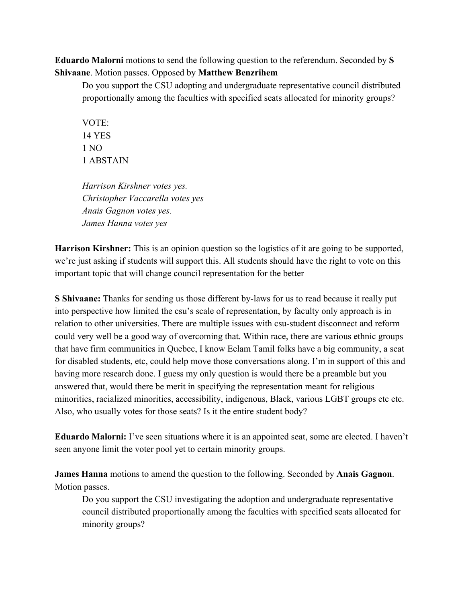**Eduardo Malorni** motions to send the following question to the referendum. Seconded by **S Shivaane**. Motion passes. Opposed by **Matthew Benzrihem**

Do you support the CSU adopting and undergraduate representative council distributed proportionally among the faculties with specified seats allocated for minority groups?

VOTE: 14 YES 1 NO 1 ABSTAIN

*Harrison Kirshner votes yes. Christopher Vaccarella votes yes Anais Gagnon votes yes. James Hanna votes yes*

**Harrison Kirshner:** This is an opinion question so the logistics of it are going to be supported, we're just asking if students will support this. All students should have the right to vote on this important topic that will change council representation for the better

**S Shivaane:** Thanks for sending us those different by-laws for us to read because it really put into perspective how limited the csu's scale of representation, by faculty only approach is in relation to other universities. There are multiple issues with csu-student disconnect and reform could very well be a good way of overcoming that. Within race, there are various ethnic groups that have firm communities in Quebec, I know Eelam Tamil folks have a big community, a seat for disabled students, etc, could help move those conversations along. I'm in support of this and having more research done. I guess my only question is would there be a preamble but you answered that, would there be merit in specifying the representation meant for religious minorities, racialized minorities, accessibility, indigenous, Black, various LGBT groups etc etc. Also, who usually votes for those seats? Is it the entire student body?

**Eduardo Malorni:** I've seen situations where it is an appointed seat, some are elected. I haven't seen anyone limit the voter pool yet to certain minority groups.

**James Hanna** motions to amend the question to the following. Seconded by **Anais Gagnon**. Motion passes.

Do you support the CSU investigating the adoption and undergraduate representative council distributed proportionally among the faculties with specified seats allocated for minority groups?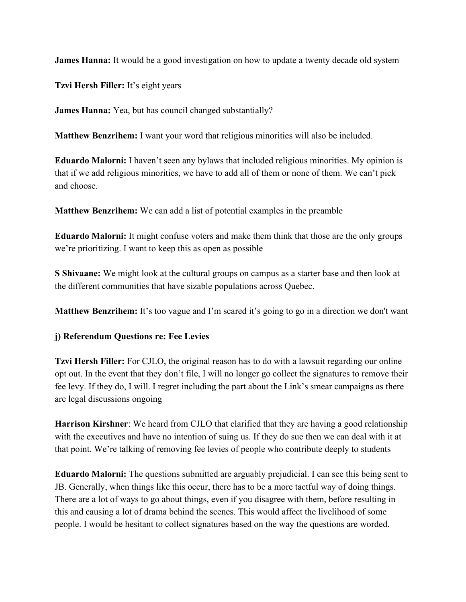**James Hanna:** It would be a good investigation on how to update a twenty decade old system

**Tzvi Hersh Filler:** It's eight years

**James Hanna:** Yea, but has council changed substantially?

**Matthew Benzrihem:** I want your word that religious minorities will also be included.

**Eduardo Malorni:** I haven't seen any bylaws that included religious minorities. My opinion is that if we add religious minorities, we have to add all of them or none of them. We can't pick and choose.

**Matthew Benzrihem:** We can add a list of potential examples in the preamble

**Eduardo Malorni:** It might confuse voters and make them think that those are the only groups we're prioritizing. I want to keep this as open as possible

**S Shivaane:** We might look at the cultural groups on campus as a starter base and then look at the different communities that have sizable populations across Quebec.

**Matthew Benzrihem:** It's too vague and I'm scared it's going to go in a direction we don't want

## **j) Referendum Questions re: Fee Levies**

**Tzvi Hersh Filler:** For CJLO, the original reason has to do with a lawsuit regarding our online opt out. In the event that they don't file, I will no longer go collect the signatures to remove their fee levy. If they do, I will. I regret including the part about the Link's smear campaigns as there are legal discussions ongoing

**Harrison Kirshner**: We heard from CJLO that clarified that they are having a good relationship with the executives and have no intention of suing us. If they do sue then we can deal with it at that point. We're talking of removing fee levies of people who contribute deeply to students

**Eduardo Malorni:** The questions submitted are arguably prejudicial. I can see this being sent to JB. Generally, when things like this occur, there has to be a more tactful way of doing things. There are a lot of ways to go about things, even if you disagree with them, before resulting in this and causing a lot of drama behind the scenes. This would affect the livelihood of some people. I would be hesitant to collect signatures based on the way the questions are worded.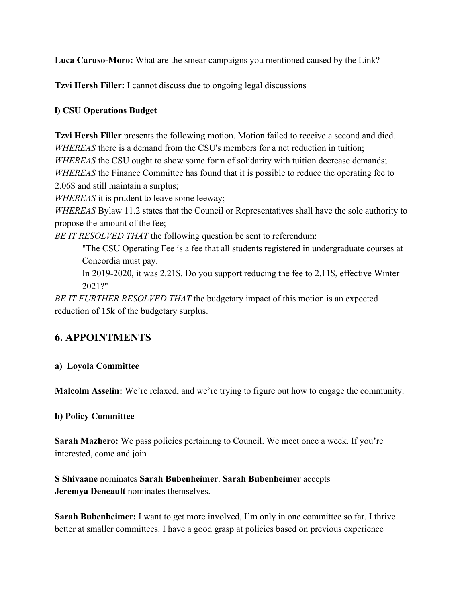**Luca Caruso-Moro:** What are the smear campaigns you mentioned caused by the Link?

**Tzvi Hersh Filler:** I cannot discuss due to ongoing legal discussions

## **l) CSU Operations Budget**

**Tzvi Hersh Filler** presents the following motion. Motion failed to receive a second and died. *WHEREAS* there is a demand from the CSU's members for a net reduction in tuition; *WHEREAS* the CSU ought to show some form of solidarity with tuition decrease demands; *WHEREAS* the Finance Committee has found that it is possible to reduce the operating fee to 2.06\$ and still maintain a surplus;

*WHEREAS* it is prudent to leave some leeway;

*WHEREAS* Bylaw 11.2 states that the Council or Representatives shall have the sole authority to propose the amount of the fee;

*BE IT RESOLVED THAT* the following question be sent to referendum:

"The CSU Operating Fee is a fee that all students registered in undergraduate courses at Concordia must pay.

In 2019-2020, it was 2.21\$. Do you support reducing the fee to 2.11\$, effective Winter 2021?"

*BE IT FURTHER RESOLVED THAT* the budgetary impact of this motion is an expected reduction of 15k of the budgetary surplus.

# **6. APPOINTMENTS**

## **a) Loyola Committee**

**Malcolm Asselin:** We're relaxed, and we're trying to figure out how to engage the community.

## **b) Policy Committee**

**Sarah Mazhero:** We pass policies pertaining to Council. We meet once a week. If you're interested, come and join

**S Shivaane** nominates **Sarah Bubenheimer**. **Sarah Bubenheimer** accepts **Jeremya Deneault** nominates themselves.

**Sarah Bubenheimer:** I want to get more involved, I'm only in one committee so far. I thrive better at smaller committees. I have a good grasp at policies based on previous experience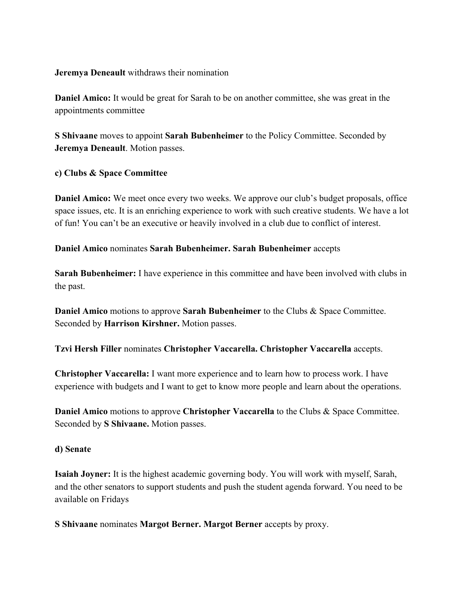**Jeremya Deneault** withdraws their nomination

**Daniel Amico:** It would be great for Sarah to be on another committee, she was great in the appointments committee

**S Shivaane** moves to appoint **Sarah Bubenheimer** to the Policy Committee. Seconded by **Jeremya Deneault**. Motion passes.

#### **c) Clubs & Space Committee**

**Daniel Amico:** We meet once every two weeks. We approve our club's budget proposals, office space issues, etc. It is an enriching experience to work with such creative students. We have a lot of fun! You can't be an executive or heavily involved in a club due to conflict of interest.

**Daniel Amico** nominates **Sarah Bubenheimer. Sarah Bubenheimer** accepts

**Sarah Bubenheimer:** I have experience in this committee and have been involved with clubs in the past.

**Daniel Amico** motions to approve **Sarah Bubenheimer** to the Clubs & Space Committee. Seconded by **Harrison Kirshner.** Motion passes.

**Tzvi Hersh Filler** nominates **Christopher Vaccarella. Christopher Vaccarella** accepts.

**Christopher Vaccarella:** I want more experience and to learn how to process work. I have experience with budgets and I want to get to know more people and learn about the operations.

**Daniel Amico** motions to approve **Christopher Vaccarella** to the Clubs & Space Committee. Seconded by **S Shivaane.** Motion passes.

#### **d) Senate**

**Isaiah Joyner:** It is the highest academic governing body. You will work with myself, Sarah, and the other senators to support students and push the student agenda forward. You need to be available on Fridays

**S Shivaane** nominates **Margot Berner. Margot Berner** accepts by proxy.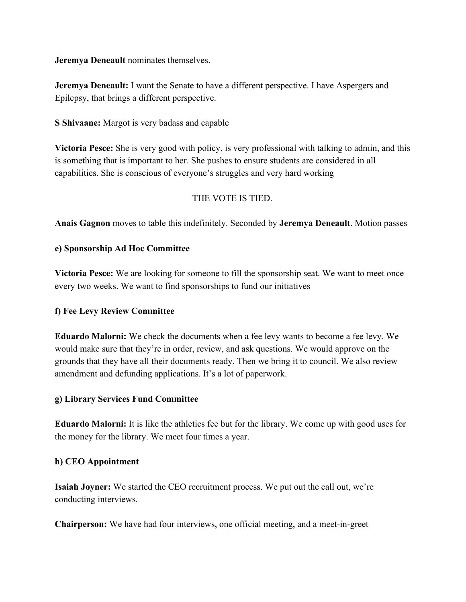**Jeremya Deneault** nominates themselves.

**Jeremya Deneault:** I want the Senate to have a different perspective. I have Aspergers and Epilepsy, that brings a different perspective.

**S Shivaane:** Margot is very badass and capable

**Victoria Pesce:** She is very good with policy, is very professional with talking to admin, and this is something that is important to her. She pushes to ensure students are considered in all capabilities. She is conscious of everyone's struggles and very hard working

#### THE VOTE IS TIED.

**Anais Gagnon** moves to table this indefinitely. Seconded by **Jeremya Deneault**. Motion passes

#### **e) Sponsorship Ad Hoc Committee**

**Victoria Pesce:** We are looking for someone to fill the sponsorship seat. We want to meet once every two weeks. We want to find sponsorships to fund our initiatives

#### **f) Fee Levy Review Committee**

**Eduardo Malorni:** We check the documents when a fee levy wants to become a fee levy. We would make sure that they're in order, review, and ask questions. We would approve on the grounds that they have all their documents ready. Then we bring it to council. We also review amendment and defunding applications. It's a lot of paperwork.

#### **g) Library Services Fund Committee**

**Eduardo Malorni:** It is like the athletics fee but for the library. We come up with good uses for the money for the library. We meet four times a year.

#### **h) CEO Appointment**

**Isaiah Joyner:** We started the CEO recruitment process. We put out the call out, we're conducting interviews.

**Chairperson:** We have had four interviews, one official meeting, and a meet-in-greet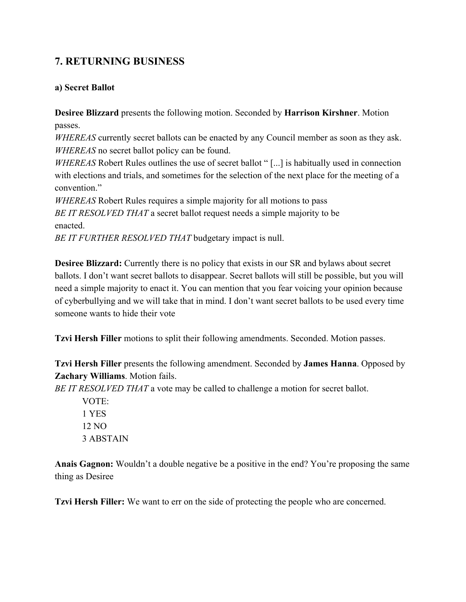# **7. RETURNING BUSINESS**

#### **a) Secret Ballot**

**Desiree Blizzard** presents the following motion. Seconded by **Harrison Kirshner**. Motion passes.

*WHEREAS* currently secret ballots can be enacted by any Council member as soon as they ask. *WHEREAS* no secret ballot policy can be found.

*WHEREAS* Robert Rules outlines the use of secret ballot "[...] is habitually used in connection with elections and trials, and sometimes for the selection of the next place for the meeting of a convention."

*WHEREAS* Robert Rules requires a simple majority for all motions to pass *BE IT RESOLVED THAT* a secret ballot request needs a simple majority to be enacted.

*BE IT FURTHER RESOLVED THAT* budgetary impact is null.

**Desiree Blizzard:** Currently there is no policy that exists in our SR and bylaws about secret ballots. I don't want secret ballots to disappear. Secret ballots will still be possible, but you will need a simple majority to enact it. You can mention that you fear voicing your opinion because of cyberbullying and we will take that in mind. I don't want secret ballots to be used every time someone wants to hide their vote

**Tzvi Hersh Filler** motions to split their following amendments. Seconded. Motion passes.

**Tzvi Hersh Filler** presents the following amendment. Seconded by **James Hanna**. Opposed by **Zachary Williams**. Motion fails.

*BE IT RESOLVED THAT* a vote may be called to challenge a motion for secret ballot.

VOTE: 1 YES 12 NO 3 ABSTAIN

**Anais Gagnon:** Wouldn't a double negative be a positive in the end? You're proposing the same thing as Desiree

**Tzvi Hersh Filler:** We want to err on the side of protecting the people who are concerned.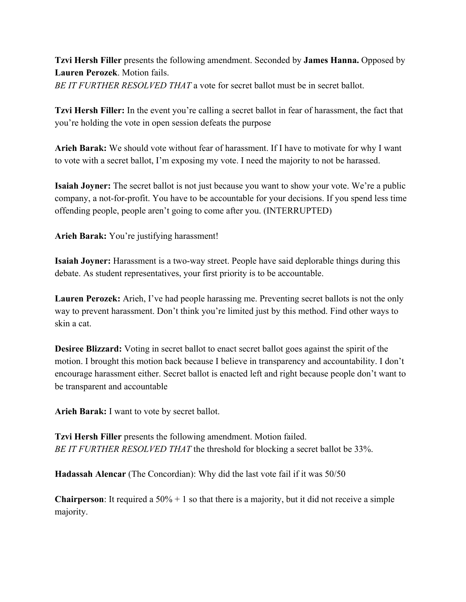**Tzvi Hersh Filler** presents the following amendment. Seconded by **James Hanna.** Opposed by **Lauren Perozek**. Motion fails. *BE IT FURTHER RESOLVED THAT* a vote for secret ballot must be in secret ballot.

**Tzvi Hersh Filler:** In the event you're calling a secret ballot in fear of harassment, the fact that you're holding the vote in open session defeats the purpose

**Arieh Barak:** We should vote without fear of harassment. If I have to motivate for why I want to vote with a secret ballot, I'm exposing my vote. I need the majority to not be harassed.

**Isaiah Joyner:** The secret ballot is not just because you want to show your vote. We're a public company, a not-for-profit. You have to be accountable for your decisions. If you spend less time offending people, people aren't going to come after you. (INTERRUPTED)

**Arieh Barak:** You're justifying harassment!

**Isaiah Joyner:** Harassment is a two-way street. People have said deplorable things during this debate. As student representatives, your first priority is to be accountable.

**Lauren Perozek:** Arieh, I've had people harassing me. Preventing secret ballots is not the only way to prevent harassment. Don't think you're limited just by this method. Find other ways to skin a cat.

**Desiree Blizzard:** Voting in secret ballot to enact secret ballot goes against the spirit of the motion. I brought this motion back because I believe in transparency and accountability. I don't encourage harassment either. Secret ballot is enacted left and right because people don't want to be transparent and accountable

**Arieh Barak:** I want to vote by secret ballot.

**Tzvi Hersh Filler** presents the following amendment. Motion failed. *BE IT FURTHER RESOLVED THAT* the threshold for blocking a secret ballot be 33%.

**Hadassah Alencar** (The Concordian): Why did the last vote fail if it was 50/50

**Chairperson**: It required a  $50\% + 1$  so that there is a majority, but it did not receive a simple majority.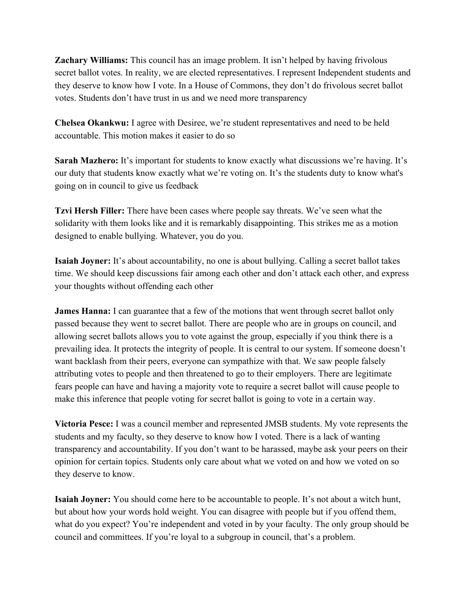**Zachary Williams:** This council has an image problem. It isn't helped by having frivolous secret ballot votes. In reality, we are elected representatives. I represent Independent students and they deserve to know how I vote. In a House of Commons, they don't do frivolous secret ballot votes. Students don't have trust in us and we need more transparency

**Chelsea Okankwu:** I agree with Desiree, we're student representatives and need to be held accountable. This motion makes it easier to do so

**Sarah Mazhero:** It's important for students to know exactly what discussions we're having. It's our duty that students know exactly what we're voting on. It's the students duty to know what's going on in council to give us feedback

**Tzvi Hersh Filler:** There have been cases where people say threats. We've seen what the solidarity with them looks like and it is remarkably disappointing. This strikes me as a motion designed to enable bullying. Whatever, you do you.

**Isaiah Joyner:** It's about accountability, no one is about bullying. Calling a secret ballot takes time. We should keep discussions fair among each other and don't attack each other, and express your thoughts without offending each other

**James Hanna:** I can guarantee that a few of the motions that went through secret ballot only passed because they went to secret ballot. There are people who are in groups on council, and allowing secret ballots allows you to vote against the group, especially if you think there is a prevailing idea. It protects the integrity of people. It is central to our system. If someone doesn't want backlash from their peers, everyone can sympathize with that. We saw people falsely attributing votes to people and then threatened to go to their employers. There are legitimate fears people can have and having a majority vote to require a secret ballot will cause people to make this inference that people voting for secret ballot is going to vote in a certain way.

**Victoria Pesce:** I was a council member and represented JMSB students. My vote represents the students and my faculty, so they deserve to know how I voted. There is a lack of wanting transparency and accountability. If you don't want to be harassed, maybe ask your peers on their opinion for certain topics. Students only care about what we voted on and how we voted on so they deserve to know.

**Isaiah Joyner:** You should come here to be accountable to people. It's not about a witch hunt, but about how your words hold weight. You can disagree with people but if you offend them, what do you expect? You're independent and voted in by your faculty. The only group should be council and committees. If you're loyal to a subgroup in council, that's a problem.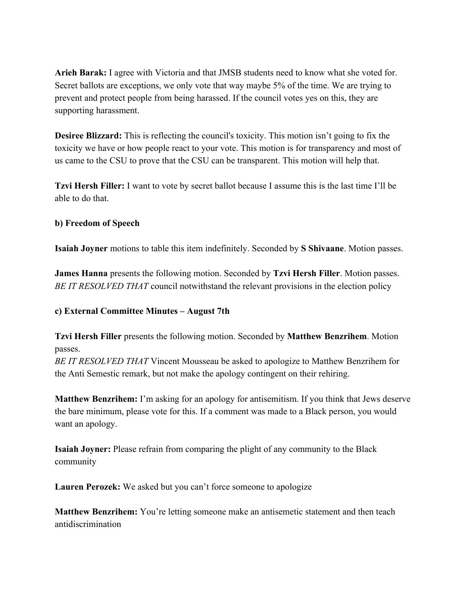**Arieh Barak:** I agree with Victoria and that JMSB students need to know what she voted for. Secret ballots are exceptions, we only vote that way maybe 5% of the time. We are trying to prevent and protect people from being harassed. If the council votes yes on this, they are supporting harassment.

**Desiree Blizzard:** This is reflecting the council's toxicity. This motion isn't going to fix the toxicity we have or how people react to your vote. This motion is for transparency and most of us came to the CSU to prove that the CSU can be transparent. This motion will help that.

**Tzvi Hersh Filler:** I want to vote by secret ballot because I assume this is the last time I'll be able to do that.

#### **b) Freedom of Speech**

**Isaiah Joyner** motions to table this item indefinitely. Seconded by **S Shivaane**. Motion passes.

**James Hanna** presents the following motion. Seconded by **Tzvi Hersh Filler**. Motion passes. *BE IT RESOLVED THAT* council notwithstand the relevant provisions in the election policy

## **c) External Committee Minutes – August 7th**

**Tzvi Hersh Filler** presents the following motion. Seconded by **Matthew Benzrihem**. Motion passes.

*BE IT RESOLVED THAT* Vincent Mousseau be asked to apologize to Matthew Benzrihem for the Anti Semestic remark, but not make the apology contingent on their rehiring.

**Matthew Benzrihem:** I'm asking for an apology for antisemitism. If you think that Jews deserve the bare minimum, please vote for this. If a comment was made to a Black person, you would want an apology.

**Isaiah Joyner:** Please refrain from comparing the plight of any community to the Black community

**Lauren Perozek:** We asked but you can't force someone to apologize

**Matthew Benzrihem:** You're letting someone make an antisemetic statement and then teach antidiscrimination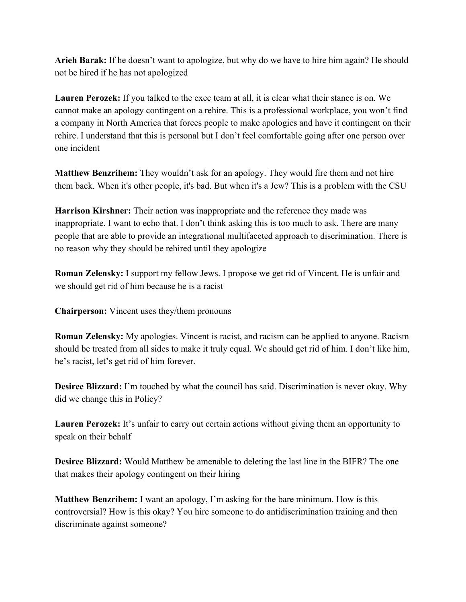**Arieh Barak:** If he doesn't want to apologize, but why do we have to hire him again? He should not be hired if he has not apologized

**Lauren Perozek:** If you talked to the exec team at all, it is clear what their stance is on. We cannot make an apology contingent on a rehire. This is a professional workplace, you won't find a company in North America that forces people to make apologies and have it contingent on their rehire. I understand that this is personal but I don't feel comfortable going after one person over one incident

**Matthew Benzrihem:** They wouldn't ask for an apology. They would fire them and not hire them back. When it's other people, it's bad. But when it's a Jew? This is a problem with the CSU

**Harrison Kirshner:** Their action was inappropriate and the reference they made was inappropriate. I want to echo that. I don't think asking this is too much to ask. There are many people that are able to provide an integrational multifaceted approach to discrimination. There is no reason why they should be rehired until they apologize

**Roman Zelensky:** I support my fellow Jews. I propose we get rid of Vincent. He is unfair and we should get rid of him because he is a racist

**Chairperson:** Vincent uses they/them pronouns

**Roman Zelensky:** My apologies. Vincent is racist, and racism can be applied to anyone. Racism should be treated from all sides to make it truly equal. We should get rid of him. I don't like him, he's racist, let's get rid of him forever.

**Desiree Blizzard:** I'm touched by what the council has said. Discrimination is never okay. Why did we change this in Policy?

**Lauren Perozek:** It's unfair to carry out certain actions without giving them an opportunity to speak on their behalf

**Desiree Blizzard:** Would Matthew be amenable to deleting the last line in the BIFR? The one that makes their apology contingent on their hiring

**Matthew Benzrihem:** I want an apology, I'm asking for the bare minimum. How is this controversial? How is this okay? You hire someone to do antidiscrimination training and then discriminate against someone?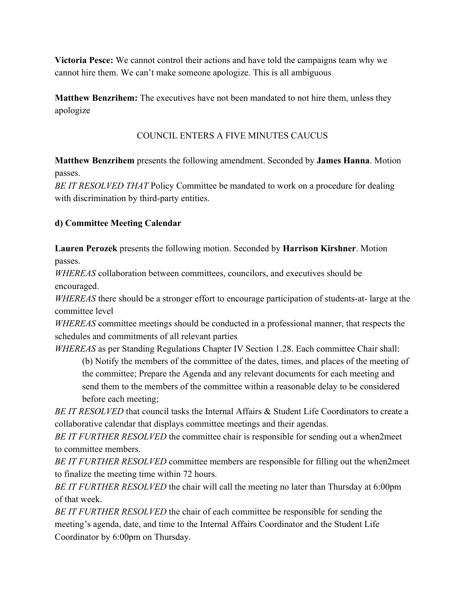**Victoria Pesce:** We cannot control their actions and have told the campaigns team why we cannot hire them. We can't make someone apologize. This is all ambiguous

**Matthew Benzrihem:** The executives have not been mandated to not hire them, unless they apologize

## COUNCIL ENTERS A FIVE MINUTES CAUCUS

**Matthew Benzrihem** presents the following amendment. Seconded by **James Hanna**. Motion passes.

*BE IT RESOLVED THAT* Policy Committee be mandated to work on a procedure for dealing with discrimination by third-party entities.

## **d) Committee Meeting Calendar**

**Lauren Perozek** presents the following motion. Seconded by **Harrison Kirshner**. Motion passes.

*WHEREAS* collaboration between committees, councilors, and executives should be encouraged.

*WHEREAS* there should be a stronger effort to encourage participation of students-at- large at the committee level

*WHEREAS* committee meetings should be conducted in a professional manner, that respects the schedules and commitments of all relevant parties

*WHEREAS* as per Standing Regulations Chapter IV Section 1.28. Each committee Chair shall: (b) Notify the members of the committee of the dates, times, and places of the meeting of the committee; Prepare the Agenda and any relevant documents for each meeting and send them to the members of the committee within a reasonable delay to be considered before each meeting;

*BE IT RESOLVED* that council tasks the Internal Affairs & Student Life Coordinators to create a collaborative calendar that displays committee meetings and their agendas.

*BE IT FURTHER RESOLVED* the committee chair is responsible for sending out a when2meet to committee members.

*BE IT FURTHER RESOLVED* committee members are responsible for filling out the when2meet to finalize the meeting time within 72 hours.

*BE IT FURTHER RESOLVED* the chair will call the meeting no later than Thursday at 6:00pm of that week.

*BE IT FURTHER RESOLVED* the chair of each committee be responsible for sending the meeting's agenda, date, and time to the Internal Affairs Coordinator and the Student Life Coordinator by 6:00pm on Thursday.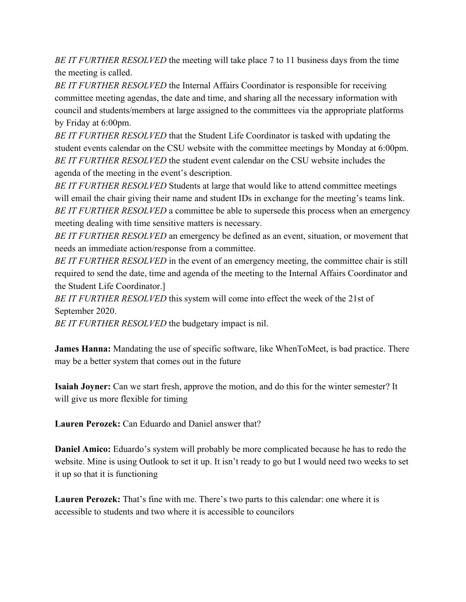*BE IT FURTHER RESOLVED* the meeting will take place 7 to 11 business days from the time the meeting is called.

*BE IT FURTHER RESOLVED* the Internal Affairs Coordinator is responsible for receiving committee meeting agendas, the date and time, and sharing all the necessary information with council and students/members at large assigned to the committees via the appropriate platforms by Friday at 6:00pm.

*BE IT FURTHER RESOLVED* that the Student Life Coordinator is tasked with updating the student events calendar on the CSU website with the committee meetings by Monday at 6:00pm. *BE IT FURTHER RESOLVED* the student event calendar on the CSU website includes the agenda of the meeting in the event's description.

*BE IT FURTHER RESOLVED* Students at large that would like to attend committee meetings will email the chair giving their name and student IDs in exchange for the meeting's teams link. *BE IT FURTHER RESOLVED* a committee be able to supersede this process when an emergency meeting dealing with time sensitive matters is necessary.

*BE IT FURTHER RESOLVED* an emergency be defined as an event, situation, or movement that needs an immediate action/response from a committee.

*BE IT FURTHER RESOLVED* in the event of an emergency meeting, the committee chair is still required to send the date, time and agenda of the meeting to the Internal Affairs Coordinator and the Student Life Coordinator.]

*BE IT FURTHER RESOLVED* this system will come into effect the week of the 21st of September 2020.

*BE IT FURTHER RESOLVED* the budgetary impact is nil.

**James Hanna:** Mandating the use of specific software, like WhenToMeet, is bad practice. There may be a better system that comes out in the future

**Isaiah Joyner:** Can we start fresh, approve the motion, and do this for the winter semester? It will give us more flexible for timing

**Lauren Perozek:** Can Eduardo and Daniel answer that?

**Daniel Amico:** Eduardo's system will probably be more complicated because he has to redo the website. Mine is using Outlook to set it up. It isn't ready to go but I would need two weeks to set it up so that it is functioning

**Lauren Perozek:** That's fine with me. There's two parts to this calendar: one where it is accessible to students and two where it is accessible to councilors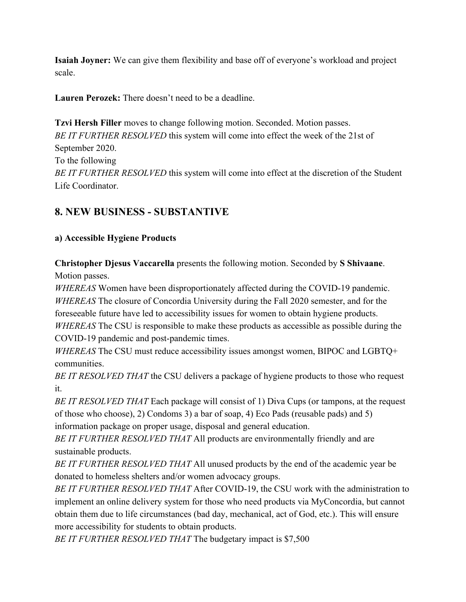**Isaiah Joyner:** We can give them flexibility and base off of everyone's workload and project scale.

**Lauren Perozek:** There doesn't need to be a deadline.

**Tzvi Hersh Filler** moves to change following motion. Seconded. Motion passes. *BE IT FURTHER RESOLVED* this system will come into effect the week of the 21st of September 2020. To the following *BE IT FURTHER RESOLVED* this system will come into effect at the discretion of the Student Life Coordinator.

## **8. NEW BUSINESS - SUBSTANTIVE**

## **a) Accessible Hygiene Products**

**Christopher Djesus Vaccarella** presents the following motion. Seconded by **S Shivaane**. Motion passes.

*WHEREAS* Women have been disproportionately affected during the COVID-19 pandemic. *WHEREAS* The closure of Concordia University during the Fall 2020 semester, and for the foreseeable future have led to accessibility issues for women to obtain hygiene products. *WHEREAS* The CSU is responsible to make these products as accessible as possible during the COVID-19 pandemic and post-pandemic times.

*WHEREAS* The CSU must reduce accessibility issues amongst women, BIPOC and LGBTQ+ communities.

*BE IT RESOLVED THAT* the CSU delivers a package of hygiene products to those who request it.

*BE IT RESOLVED THAT* Each package will consist of 1) Diva Cups (or tampons, at the request of those who choose), 2) Condoms 3) a bar of soap, 4) Eco Pads (reusable pads) and 5) information package on proper usage, disposal and general education.

*BE IT FURTHER RESOLVED THAT* All products are environmentally friendly and are sustainable products.

*BE IT FURTHER RESOLVED THAT* All unused products by the end of the academic year be donated to homeless shelters and/or women advocacy groups.

*BE IT FURTHER RESOLVED THAT* After COVID-19, the CSU work with the administration to implement an online delivery system for those who need products via MyConcordia, but cannot obtain them due to life circumstances (bad day, mechanical, act of God, etc.). This will ensure more accessibility for students to obtain products.

*BE IT FURTHER RESOLVED THAT* The budgetary impact is \$7,500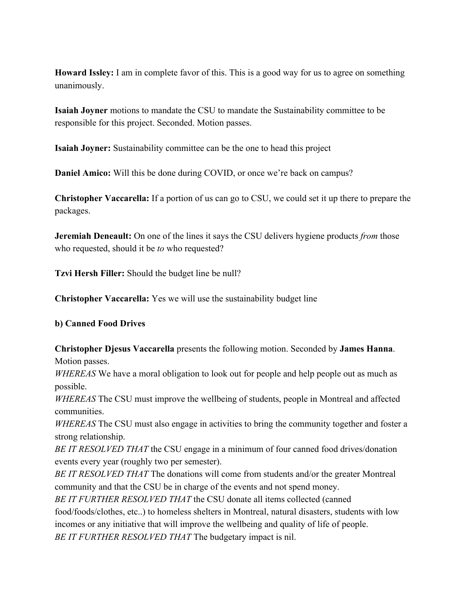**Howard Issley:** I am in complete favor of this. This is a good way for us to agree on something unanimously.

**Isaiah Joyner** motions to mandate the CSU to mandate the Sustainability committee to be responsible for this project. Seconded. Motion passes.

**Isaiah Joyner:** Sustainability committee can be the one to head this project

**Daniel Amico:** Will this be done during COVID, or once we're back on campus?

**Christopher Vaccarella:** If a portion of us can go to CSU, we could set it up there to prepare the packages.

**Jeremiah Deneault:** On one of the lines it says the CSU delivers hygiene products *from* those who requested, should it be *to* who requested?

**Tzvi Hersh Filler:** Should the budget line be null?

**Christopher Vaccarella:** Yes we will use the sustainability budget line

#### **b) Canned Food Drives**

**Christopher Djesus Vaccarella** presents the following motion. Seconded by **James Hanna**. Motion passes.

*WHEREAS* We have a moral obligation to look out for people and help people out as much as possible.

*WHEREAS* The CSU must improve the wellbeing of students, people in Montreal and affected communities.

*WHEREAS* The CSU must also engage in activities to bring the community together and foster a strong relationship.

*BE IT RESOLVED THAT* the CSU engage in a minimum of four canned food drives/donation events every year (roughly two per semester).

*BE IT RESOLVED THAT* The donations will come from students and/or the greater Montreal community and that the CSU be in charge of the events and not spend money.

*BE IT FURTHER RESOLVED THAT* the CSU donate all items collected (canned

food/foods/clothes, etc..) to homeless shelters in Montreal, natural disasters, students with low incomes or any initiative that will improve the wellbeing and quality of life of people. *BE IT FURTHER RESOLVED THAT* The budgetary impact is nil.